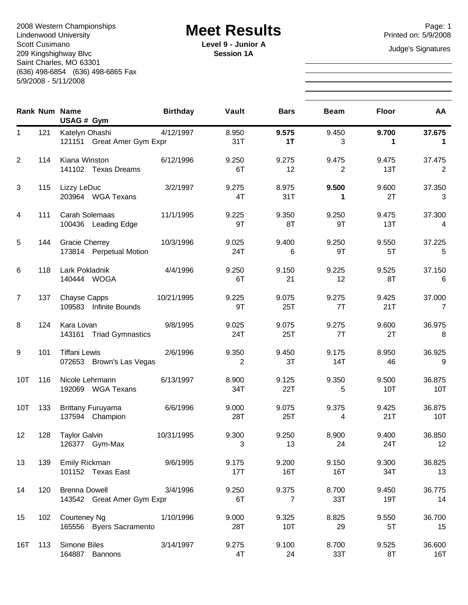Page: 1<br>
Lindenwood University **Example Acet Results**<br>
Printed on: 5/9/2008 Lindenwood University Scott Cusimano 209 Kingshighway Blvc Saint Charles, MO 63301 (636) 498-6854 (636) 498-6865 Fax 5/9/2008 - 5/11/2008

**Level 9 - Junior A** Judge's Signatures **Session 1A**

|                  |     | <b>Rank Num Name</b><br>USAG # Gym                 | <b>Birthday</b> | Vault        | <b>Bars</b>             | <b>Beam</b>  | <b>Floor</b> | <b>AA</b>     |
|------------------|-----|----------------------------------------------------|-----------------|--------------|-------------------------|--------------|--------------|---------------|
| $\mathbf{1}$     | 121 | Katelyn Ohashi<br>121151 Great Amer Gym Expr       | 4/12/1997       | 8.950<br>31T | 9.575<br>1T             | 9.450<br>3   | 9.700<br>1   | 37.675<br>1   |
| 2                | 114 | Kiana Winston<br>141102 Texas Dreams               | 6/12/1996       | 9.250<br>6T  | 9.275<br>12             | 9.475<br>2   | 9.475<br>13T | 37.475<br>2   |
| 3                | 115 | Lizzy LeDuc<br>203964 WGA Texans                   | 3/2/1997        | 9.275<br>4T  | 8.975<br>31T            | 9.500<br>1   | 9.600<br>2T  | 37.350<br>3   |
| $\overline{4}$   | 111 | Carah Solemaas<br>100436 Leading Edge              | 11/1/1995       | 9.225<br>9T  | 9.350<br>8T             | 9.250<br>9T  | 9.475<br>13T | 37.300<br>4   |
| 5                | 144 | <b>Gracie Cherrey</b><br>173814 Perpetual Motion   | 10/3/1996       | 9.025<br>24T | 9.400<br>6              | 9.250<br>9T  | 9.550<br>5T  | 37.225<br>5   |
| 6                | 118 | Lark Pokladnik<br>140444 WOGA                      | 4/4/1996        | 9.250<br>6T  | 9.150<br>21             | 9.225<br>12  | 9.525<br>8T  | 37.150<br>6   |
| $\overline{7}$   | 137 | Chayse Capps<br>109583 Infinite Bounds             | 10/21/1995      | 9.225<br>9T  | 9.075<br>25T            | 9.275<br>7T  | 9.425<br>21T | 37.000<br>7   |
| 8                | 124 | Kara Lovan<br>143161 Triad Gymnastics              | 9/8/1995        | 9.025<br>24T | 9.075<br>25T            | 9.275<br>7T  | 9.600<br>2T  | 36.975<br>8   |
| $\boldsymbol{9}$ | 101 | <b>Tiffani Lewis</b><br>072653 Brown's Las Vegas   | 2/6/1996        | 9.350<br>2   | 9.450<br>3T             | 9.175<br>14T | 8.950<br>46  | 36.925<br>9   |
| 10T              | 116 | Nicole Lehrmann<br>192069 WGA Texans               | 6/13/1997       | 8.900<br>34T | 9.125<br>22T            | 9.350<br>5   | 9.500<br>10T | 36.875<br>10T |
| 10T              | 133 | <b>Brittany Furuyama</b><br>137594 Champion        | 6/6/1996        | 9.000<br>28T | 9.075<br>25T            | 9.375<br>4   | 9.425<br>21T | 36.875<br>10T |
| 12               | 128 | <b>Taylor Galvin</b><br>126377 Gym-Max             | 10/31/1995      | 9.300<br>3   | 9.250<br>13             | 8.900<br>24  | 9.400<br>24T | 36.850<br>12  |
| 13               | 139 | Emily Rickman<br>101152 Texas East                 | 9/6/1995        | 9.175<br>17T | 9.200<br>16T            | 9.150<br>16T | 9.300<br>34T | 36.825<br>13  |
| 14               | 120 | <b>Brenna Dowell</b><br>143542 Great Amer Gym Expr | 3/4/1996        | 9.250<br>6T  | 9.375<br>$\overline{7}$ | 8.700<br>33T | 9.450<br>19T | 36.775<br>14  |
| 15               | 102 | Courteney Ng<br>165556 Byers Sacramento            | 1/10/1996       | 9.000<br>28T | 9.325<br>10T            | 8.825<br>29  | 9.550<br>5T  | 36.700<br>15  |
| 16T              | 113 | Simone Biles<br>164887 Bannons                     | 3/14/1997       | 9.275<br>4T  | 9.100<br>24             | 8.700<br>33T | 9.525<br>8T  | 36.600<br>16T |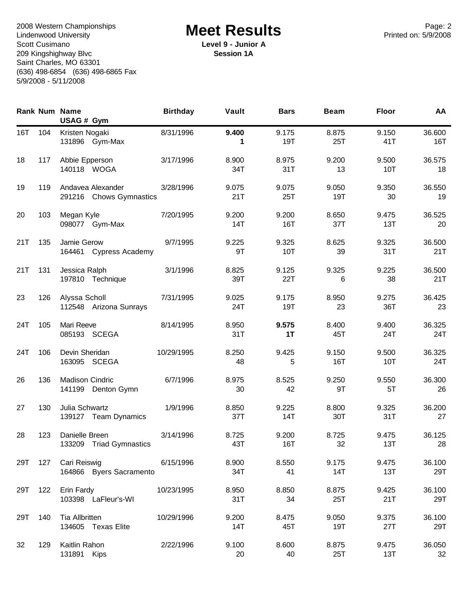Page: 2<br>
Lindenwood University **Example Acet Results**<br>
Printed on: 5/9/2008 Lindenwood University Scott Cusimano 209 Kingshighway Blvc Saint Charles, MO 63301 (636) 498-6854 (636) 498-6865 Fax 5/9/2008 - 5/11/2008

**Level 9 - Junior A Session 1A**

|     |     | <b>Rank Num Name</b><br>USAG # Gym           | <b>Birthday</b> | Vault        | <b>Bars</b>  | <b>Beam</b>  | <b>Floor</b> | AA            |
|-----|-----|----------------------------------------------|-----------------|--------------|--------------|--------------|--------------|---------------|
| 16T | 104 | Kristen Nogaki<br>131896 Gym-Max             | 8/31/1996       | 9.400<br>1   | 9.175<br>19T | 8.875<br>25T | 9.150<br>41T | 36.600<br>16T |
| 18  | 117 | Abbie Epperson<br>140118 WOGA                | 3/17/1996       | 8.900<br>34T | 8.975<br>31T | 9.200<br>13  | 9.500<br>10T | 36.575<br>18  |
| 19  | 119 | Andavea Alexander<br>291216 Chows Gymnastics | 3/28/1996       | 9.075<br>21T | 9.075<br>25T | 9.050<br>19T | 9.350<br>30  | 36.550<br>19  |
| 20  | 103 | Megan Kyle<br>098077 Gym-Max                 | 7/20/1995       | 9.200<br>14T | 9.200<br>16T | 8.650<br>37T | 9.475<br>13T | 36.525<br>20  |
| 21T | 135 | Jamie Gerow<br>164461 Cypress Academy        | 9/7/1995        | 9.225<br>9T  | 9.325<br>10T | 8.625<br>39  | 9.325<br>31T | 36.500<br>21T |
| 21T | 131 | Jessica Ralph<br>197810 Technique            | 3/1/1996        | 8.825<br>39T | 9.125<br>22T | 9.325<br>6   | 9.225<br>38  | 36.500<br>21T |
| 23  | 126 | Alyssa Scholl<br>112548 Arizona Sunrays      | 7/31/1995       | 9.025<br>24T | 9.175<br>19T | 8.950<br>23  | 9.275<br>36T | 36.425<br>23  |
| 24T | 105 | Mari Reeve<br>085193 SCEGA                   | 8/14/1995       | 8.950<br>31T | 9.575<br>1T  | 8.400<br>45T | 9.400<br>24T | 36.325<br>24T |
| 24T | 106 | Devin Sheridan<br>163095 SCEGA               | 10/29/1995      | 8.250<br>48  | 9.425<br>5   | 9.150<br>16T | 9.500<br>10T | 36.325<br>24T |
| 26  | 136 | <b>Madison Cindric</b><br>141199 Denton Gymn | 6/7/1996        | 8.975<br>30  | 8.525<br>42  | 9.250<br>9T  | 9.550<br>5T  | 36.300<br>26  |
| 27  | 130 | Julia Schwartz<br>139127 Team Dynamics       | 1/9/1996        | 8.850<br>37T | 9.225<br>14T | 8.800<br>30T | 9.325<br>31T | 36.200<br>27  |
| 28  | 123 | Danielle Breen<br>133209 Triad Gymnastics    | 3/14/1996       | 8.725<br>43T | 9.200<br>16T | 8.725<br>32  | 9.475<br>13T | 36.125<br>28  |
| 29T | 127 | Cari Reiswig<br>164866 Byers Sacramento      | 6/15/1996       | 8.900<br>34T | 8.550<br>41  | 9.175<br>14T | 9.475<br>13T | 36.100<br>29T |
| 29T | 122 | Erin Fardy<br>103398 LaFleur's-WI            | 10/23/1995      | 8.950<br>31T | 8.850<br>34  | 8.875<br>25T | 9.425<br>21T | 36.100<br>29T |
| 29T | 140 | Tia Allbritten<br>134605 Texas Elite         | 10/29/1996      | 9.200<br>14T | 8.475<br>45T | 9.050<br>19T | 9.375<br>27T | 36.100<br>29T |
| 32  | 129 | Kaitlin Rahon<br>131891 Kips                 | 2/22/1996       | 9.100<br>20  | 8.600<br>40  | 8.875<br>25T | 9.475<br>13T | 36.050<br>32  |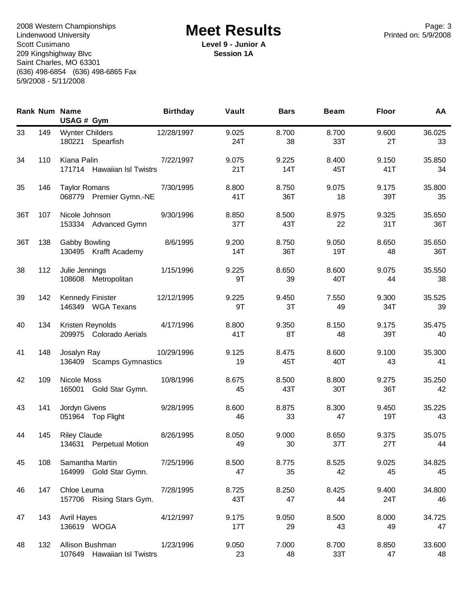Page: 3<br>
Lindenwood University **Example Acet Results**<br>
Printed on: 5/9/2008 Lindenwood University Scott Cusimano 209 Kingshighway Blvc Saint Charles, MO 63301 (636) 498-6854 (636) 498-6865 Fax 5/9/2008 - 5/11/2008

**Level 9 - Junior A Session 1A**

|     |     | <b>Rank Num Name</b><br>USAG # Gym              | <b>Birthday</b> | Vault        | <b>Bars</b>  | <b>Beam</b>  | <b>Floor</b> | AA            |
|-----|-----|-------------------------------------------------|-----------------|--------------|--------------|--------------|--------------|---------------|
| 33  | 149 | <b>Wynter Childers</b><br>180221 Spearfish      | 12/28/1997      | 9.025<br>24T | 8.700<br>38  | 8.700<br>33T | 9.600<br>2T  | 36.025<br>33  |
| 34  | 110 | Kiana Palin<br>171714 Hawaiian Isl Twistrs      | 7/22/1997       | 9.075<br>21T | 9.225<br>14T | 8.400<br>45T | 9.150<br>41T | 35.850<br>34  |
| 35  | 146 | <b>Taylor Romans</b><br>068779 Premier Gymn.-NE | 7/30/1995       | 8.800<br>41T | 8.750<br>36T | 9.075<br>18  | 9.175<br>39T | 35.800<br>35  |
| 36T | 107 | Nicole Johnson<br>153334 Advanced Gymn          | 9/30/1996       | 8.850<br>37T | 8.500<br>43T | 8.975<br>22  | 9.325<br>31T | 35.650<br>36T |
| 36T | 138 | Gabby Bowling<br>130495 Krafft Academy          | 8/6/1995        | 9.200<br>14T | 8.750<br>36T | 9.050<br>19T | 8.650<br>48  | 35.650<br>36T |
| 38  | 112 | Julie Jennings<br>108608 Metropolitan           | 1/15/1996       | 9.225<br>9T  | 8.650<br>39  | 8.600<br>40T | 9.075<br>44  | 35.550<br>38  |
| 39  | 142 | Kennedy Finister<br>146349 WGA Texans           | 12/12/1995      | 9.225<br>9T  | 9.450<br>3T  | 7.550<br>49  | 9.300<br>34T | 35.525<br>39  |
| 40  | 134 | Kristen Reynolds<br>209975 Colorado Aerials     | 4/17/1996       | 8.800<br>41T | 9.350<br>8T  | 8.150<br>48  | 9.175<br>39T | 35.475<br>40  |
| 41  | 148 | Josalyn Ray<br>136409 Scamps Gymnastics         | 10/29/1996      | 9.125<br>19  | 8.475<br>45T | 8.600<br>40T | 9.100<br>43  | 35.300<br>41  |
| 42  | 109 | Nicole Moss<br>165001 Gold Star Gymn.           | 10/8/1996       | 8.675<br>45  | 8.500<br>43T | 8.800<br>30T | 9.275<br>36T | 35.250<br>42  |
| 43  | 141 | Jordyn Givens<br>051964 Top Flight              | 9/28/1995       | 8.600<br>46  | 8.875<br>33  | 8.300<br>47  | 9.450<br>19T | 35.225<br>43  |
| 44  | 145 | <b>Riley Claude</b><br>134631 Perpetual Motion  | 8/26/1995       | 8.050<br>49  | 9.000<br>30  | 8.650<br>37T | 9.375<br>27T | 35.075<br>44  |
| 45  | 108 | Samantha Martin<br>164999 Gold Star Gymn.       | 7/25/1996       | 8.500<br>47  | 8.775<br>35  | 8.525<br>42  | 9.025<br>45  | 34.825<br>45  |
| 46  | 147 | Chloe Leuma<br>157706 Rising Stars Gym.         | 7/28/1995       | 8.725<br>43T | 8.250<br>47  | 8.425<br>44  | 9.400<br>24T | 34.800<br>46  |
| 47  | 143 | <b>Avril Hayes</b><br>136619 WOGA               | 4/12/1997       | 9.175<br>17T | 9.050<br>29  | 8.500<br>43  | 8.000<br>49  | 34.725<br>47  |
| 48  | 132 | Allison Bushman<br>107649 Hawaiian Isl Twistrs  | 1/23/1996       | 9.050<br>23  | 7.000<br>48  | 8.700<br>33T | 8.850<br>47  | 33.600<br>48  |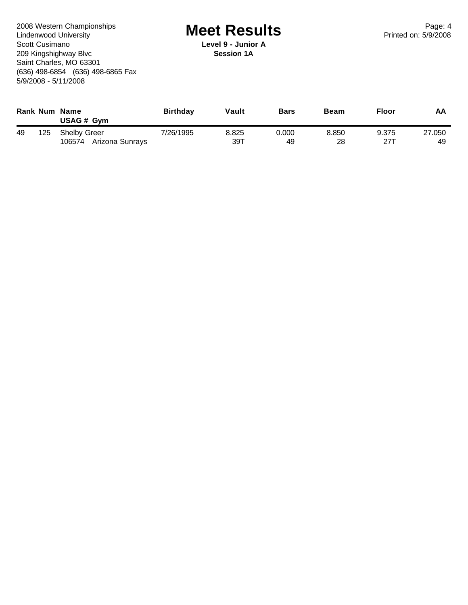Page: 4<br>
Lindenwood University **Example Acet Results**<br>
Printed on: 5/9/2008 Lindenwood University Scott Cusimano 209 Kingshighway Blvc Saint Charles, MO 63301 (636) 498-6854 (636) 498-6865 Fax 5/9/2008 - 5/11/2008

**Level 9 - Junior A Session 1A**

|    |     | Rank Num Name<br>USAG # Gym            | <b>Birthday</b> | Vault        | <b>Bars</b> | <b>Beam</b> | <b>Floor</b> | AA           |
|----|-----|----------------------------------------|-----------------|--------------|-------------|-------------|--------------|--------------|
| 49 | 125 | Shelby Greer<br>106574 Arizona Sunrays | 7/26/1995       | 8.825<br>39T | 0.000<br>49 | 8.850<br>28 | 9.375<br>27T | 27,050<br>49 |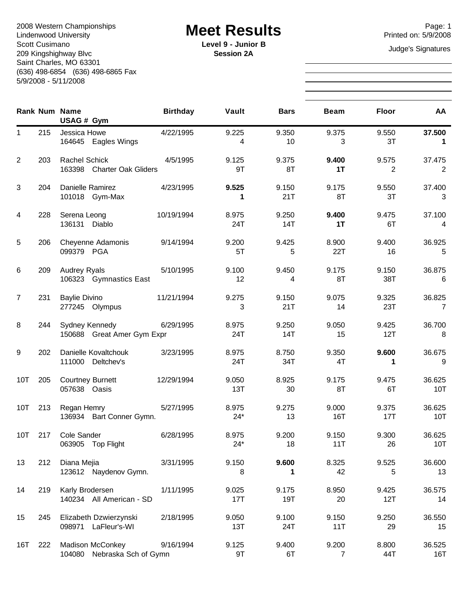Page: 1<br>
Lindenwood University **Example Acet Results**<br>
Printed on: 5/9/2008 Lindenwood University Scott Cusimano 209 Kingshighway Blvc Saint Charles, MO 63301 (636) 498-6854 (636) 498-6865 Fax 5/9/2008 - 5/11/2008

**Level 9 - Junior B** Judge's Signatures **Session 2A**

|                  |     | <b>Rank Num Name</b><br>USAG # Gym                     | <b>Birthday</b> | Vault          | <b>Bars</b>  | <b>Beam</b>             | <b>Floor</b> | AA            |
|------------------|-----|--------------------------------------------------------|-----------------|----------------|--------------|-------------------------|--------------|---------------|
| 1                | 215 | Jessica Howe<br>164645 Eagles Wings                    | 4/22/1995       | 9.225<br>4     | 9.350<br>10  | 9.375<br>3              | 9.550<br>3T  | 37.500<br>1   |
| $\overline{2}$   | 203 | <b>Rachel Schick</b><br>163398 Charter Oak Gliders     | 4/5/1995        | 9.125<br>9T    | 9.375<br>8T  | 9.400<br>1T             | 9.575<br>2   | 37.475<br>2   |
| 3                | 204 | Danielle Ramirez<br>101018 Gym-Max                     | 4/23/1995       | 9.525<br>1     | 9.150<br>21T | 9.175<br>8T             | 9.550<br>3T  | 37.400<br>3   |
| 4                | 228 | Serena Leong<br>136131<br>Diablo                       | 10/19/1994      | 8.975<br>24T   | 9.250<br>14T | 9.400<br>1T             | 9.475<br>6T  | 37.100<br>4   |
| 5                | 206 | Cheyenne Adamonis<br>099379 PGA                        | 9/14/1994       | 9.200<br>5T    | 9.425<br>5   | 8.900<br>22T            | 9.400<br>16  | 36.925<br>5   |
| 6                | 209 | <b>Audrey Ryals</b><br>106323 Gymnastics East          | 5/10/1995       | 9.100<br>12    | 9.450<br>4   | 9.175<br>8T             | 9.150<br>38T | 36.875<br>6   |
| $\overline{7}$   | 231 | <b>Baylie Divino</b><br>277245 Olympus                 | 11/21/1994      | 9.275<br>3     | 9.150<br>21T | 9.075<br>14             | 9.325<br>23T | 36.825<br>7   |
| 8                | 244 | Sydney Kennedy<br>150688 Great Amer Gym Expr           | 6/29/1995       | 8.975<br>24T   | 9.250<br>14T | 9.050<br>15             | 9.425<br>12T | 36.700<br>8   |
| $\boldsymbol{9}$ | 202 | Danielle Kovaltchouk<br>111000 Deltchev's              | 3/23/1995       | 8.975<br>24T   | 8.750<br>34T | 9.350<br>4T             | 9.600<br>1   | 36.675<br>9   |
| 10T              | 205 | <b>Courtney Burnett</b><br>057638 Oasis                | 12/29/1994      | 9.050<br>13T   | 8.925<br>30  | 9.175<br>8T             | 9.475<br>6T  | 36.625<br>10T |
| 10T              | 213 | Regan Hemry<br>136934 Bart Conner Gymn.                | 5/27/1995       | 8.975<br>$24*$ | 9.275<br>13  | 9.000<br>16T            | 9.375<br>17T | 36.625<br>10T |
| 10T              | 217 | Cole Sander<br>063905 Top Flight                       | 6/28/1995       | 8.975<br>$24*$ | 9.200<br>18  | 9.150<br>11T            | 9.300<br>26  | 36.625<br>10T |
| 13               | 212 | Diana Mejia<br>123612 Naydenov Gymn.                   | 3/31/1995       | 9.150<br>8     | 9.600<br>1   | 8.325<br>42             | 9.525<br>5   | 36.600<br>13  |
| 14               | 219 | Karly Brodersen<br>140234 All American - SD            | 1/11/1995       | 9.025<br>17T   | 9.175<br>19T | 8.950<br>20             | 9.425<br>12T | 36.575<br>14  |
| 15               | 245 | Elizabeth Dzwierzynski<br>098971 LaFleur's-WI          | 2/18/1995       | 9.050<br>13T   | 9.100<br>24T | 9.150<br>11T            | 9.250<br>29  | 36.550<br>15  |
| 16T              | 222 | <b>Madison McConkey</b><br>104080 Nebraska Sch of Gymn | 9/16/1994       | 9.125<br>9T    | 9.400<br>6T  | 9.200<br>$\overline{7}$ | 8.800<br>44T | 36.525<br>16T |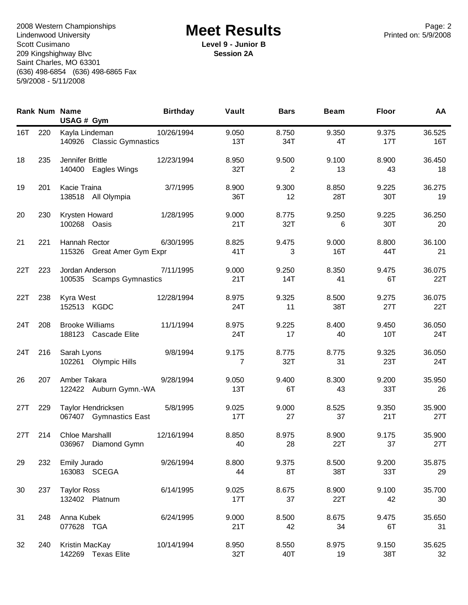Page: 2<br>
Lindenwood University **Example Acet Results**<br>
Printed on: 5/9/2008 Lindenwood University Scott Cusimano 209 Kingshighway Blvc Saint Charles, MO 63301 (636) 498-6854 (636) 498-6865 Fax 5/9/2008 - 5/11/2008

**Level 9 - Junior B Session 2A**

|     |     | <b>Rank Num Name</b><br>USAG # Gym             | <b>Birthday</b> | Vault        | <b>Bars</b>             | <b>Beam</b>  | <b>Floor</b> | AA                        |
|-----|-----|------------------------------------------------|-----------------|--------------|-------------------------|--------------|--------------|---------------------------|
| 16T | 220 | Kayla Lindeman<br>140926 Classic Gymnastics    | 10/26/1994      | 9.050<br>13T | 8.750<br>34T            | 9.350<br>4T  | 9.375<br>17T | 36.525<br>16T             |
| 18  | 235 | Jennifer Brittle<br>140400 Eagles Wings        | 12/23/1994      | 8.950<br>32T | 9.500<br>$\overline{2}$ | 9.100<br>13  | 8.900<br>43  | 36.450<br>18              |
| 19  | 201 | Kacie Traina<br>138518 All Olympia             | 3/7/1995        | 8.900<br>36T | 9.300<br>12             | 8.850<br>28T | 9.225<br>30T | 36.275<br>19              |
| 20  | 230 | Krysten Howard<br>100268 Oasis                 | 1/28/1995       | 9.000<br>21T | 8.775<br>32T            | 9.250<br>6   | 9.225<br>30T | 36.250<br>20              |
| 21  | 221 | Hannah Rector<br>115326 Great Amer Gym Expr    | 6/30/1995       | 8.825<br>41T | 9.475<br>3              | 9.000<br>16T | 8.800<br>44T | 36.100<br>21              |
| 22T | 223 | Jordan Anderson<br>100535 Scamps Gymnastics    | 7/11/1995       | 9.000<br>21T | 9.250<br>14T            | 8.350<br>41  | 9.475<br>6T  | 36.075<br>22T             |
| 22T | 238 | Kyra West<br>152513 KGDC                       | 12/28/1994      | 8.975<br>24T | 9.325<br>11             | 8.500<br>38T | 9.275<br>27T | 36.075<br>22T             |
| 24T | 208 | <b>Brooke Williams</b><br>188123 Cascade Elite | 11/1/1994       | 8.975<br>24T | 9.225<br>17             | 8.400<br>40  | 9.450<br>10T | 36.050<br>24T             |
| 24T | 216 | Sarah Lyons<br>102261 Olympic Hills            | 9/8/1994        | 9.175<br>7   | 8.775<br>32T            | 8.775<br>31  | 9.325<br>23T | 36.050<br>24T             |
| 26  | 207 | Amber Takara<br>122422 Auburn Gymn.-WA         | 9/28/1994       | 9.050<br>13T | 9.400<br>6T             | 8.300<br>43  | 9.200<br>33T | 35.950<br>26              |
| 27T | 229 | Taylor Hendricksen<br>067407 Gymnastics East   | 5/8/1995        | 9.025<br>17T | 9.000<br>27             | 8.525<br>37  | 9.350<br>21T | 35.900<br>27T             |
| 27T | 214 | Chloe Marshalll<br>036967 Diamond Gymn         | 12/16/1994      | 8.850<br>40  | 8.975<br>28             | 8.900<br>22T | 9.175<br>37  | 35.900<br>27T             |
| 29  | 232 | Emily Jurado<br>163083 SCEGA                   | 9/26/1994       | 8.800<br>44  | 9.375<br>8T             | 8.500<br>38T | 9.200<br>33T | 35.875<br>29              |
| 30  | 237 | <b>Taylor Ross</b><br>132402 Platnum           | 6/14/1995       | 9.025<br>17T | 8.675<br>37             | 8.900<br>22T | 9.100<br>42  | 35.700<br>30              |
| 31  | 248 | Anna Kubek<br>077628 TGA                       | 6/24/1995       | 9.000<br>21T | 8.500<br>42             | 8.675<br>34  | 9.475<br>6T  | 35.650<br>31              |
| 32  | 240 | Kristin MacKay<br>142269 Texas Elite           | 10/14/1994      | 8.950<br>32T | 8.550<br>40T            | 8.975<br>19  | 9.150<br>38T | 35.625<br>32 <sup>°</sup> |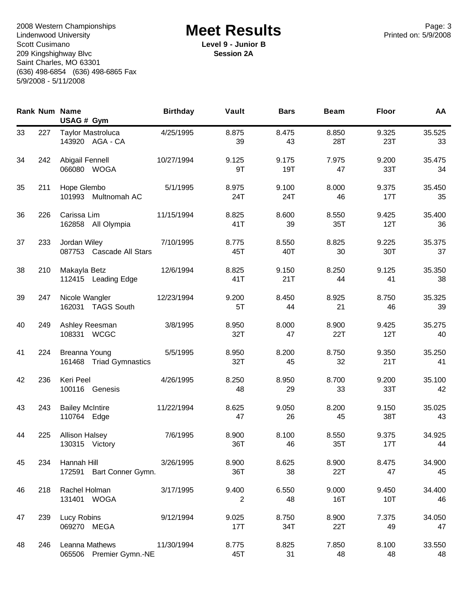Page: 3<br>
Lindenwood University **Example Acet Results**<br>
Printed on: 5/9/2008 Lindenwood University Scott Cusimano 209 Kingshighway Blvc Saint Charles, MO 63301 (636) 498-6854 (636) 498-6865 Fax 5/9/2008 - 5/11/2008

**Level 9 - Junior B Session 2A**

|    |     | <b>Rank Num Name</b><br>USAG # Gym          | <b>Birthday</b> | Vault        | <b>Bars</b>  | <b>Beam</b>  | <b>Floor</b> | AA           |
|----|-----|---------------------------------------------|-----------------|--------------|--------------|--------------|--------------|--------------|
| 33 | 227 | <b>Taylor Mastroluca</b><br>143920 AGA - CA | 4/25/1995       | 8.875<br>39  | 8.475<br>43  | 8.850<br>28T | 9.325<br>23T | 35.525<br>33 |
| 34 | 242 | Abigail Fennell<br>066080 WOGA              | 10/27/1994      | 9.125<br>9T  | 9.175<br>19T | 7.975<br>47  | 9.200<br>33T | 35.475<br>34 |
| 35 | 211 | Hope Glembo<br>101993 Multnomah AC          | 5/1/1995        | 8.975<br>24T | 9.100<br>24T | 8.000<br>46  | 9.375<br>17T | 35.450<br>35 |
| 36 | 226 | Carissa Lim<br>162858 All Olympia           | 11/15/1994      | 8.825<br>41T | 8.600<br>39  | 8.550<br>35T | 9.425<br>12T | 35.400<br>36 |
| 37 | 233 | Jordan Wiley<br>087753 Cascade All Stars    | 7/10/1995       | 8.775<br>45T | 8.550<br>40T | 8.825<br>30  | 9.225<br>30T | 35.375<br>37 |
| 38 | 210 | Makayla Betz<br>112415 Leading Edge         | 12/6/1994       | 8.825<br>41T | 9.150<br>21T | 8.250<br>44  | 9.125<br>41  | 35.350<br>38 |
| 39 | 247 | Nicole Wangler<br>162031 TAGS South         | 12/23/1994      | 9.200<br>5T  | 8.450<br>44  | 8.925<br>21  | 8.750<br>46  | 35.325<br>39 |
| 40 | 249 | Ashley Reesman<br>108331 WCGC               | 3/8/1995        | 8.950<br>32T | 8.000<br>47  | 8.900<br>22T | 9.425<br>12T | 35.275<br>40 |
| 41 | 224 | Breanna Young<br>161468 Triad Gymnastics    | 5/5/1995        | 8.950<br>32T | 8.200<br>45  | 8.750<br>32  | 9.350<br>21T | 35.250<br>41 |
| 42 | 236 | Keri Peel<br>100116 Genesis                 | 4/26/1995       | 8.250<br>48  | 8.950<br>29  | 8.700<br>33  | 9.200<br>33T | 35.100<br>42 |
| 43 | 243 | <b>Bailey McIntire</b><br>110764 Edge       | 11/22/1994      | 8.625<br>47  | 9.050<br>26  | 8.200<br>45  | 9.150<br>38T | 35.025<br>43 |
| 44 | 225 | <b>Allison Halsey</b><br>130315 Victory     | 7/6/1995        | 8.900<br>36T | 8.100<br>46  | 8.550<br>35T | 9.375<br>17T | 34.925<br>44 |
| 45 | 234 | Hannah Hill<br>Bart Conner Gymn.<br>172591  | 3/26/1995       | 8.900<br>36T | 8.625<br>38  | 8.900<br>22T | 8.475<br>47  | 34.900<br>45 |
| 46 | 218 | Rachel Holman<br>131401 WOGA                | 3/17/1995       | 9.400<br>2   | 6.550<br>48  | 9.000<br>16T | 9.450<br>10T | 34.400<br>46 |
| 47 | 239 | Lucy Robins<br>069270 MEGA                  | 9/12/1994       | 9.025<br>17T | 8.750<br>34T | 8.900<br>22T | 7.375<br>49  | 34.050<br>47 |
| 48 | 246 | Leanna Mathews<br>065506 Premier Gymn.-NE   | 11/30/1994      | 8.775<br>45T | 8.825<br>31  | 7.850<br>48  | 8.100<br>48  | 33.550<br>48 |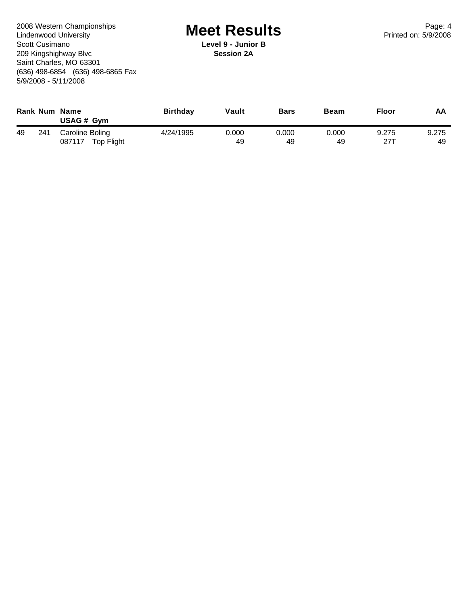Page: 4<br>
Lindenwood University **Example Acet Results**<br>
Printed on: 5/9/2008 Lindenwood University Scott Cusimano 209 Kingshighway Blvc Saint Charles, MO 63301 (636) 498-6854 (636) 498-6865 Fax 5/9/2008 - 5/11/2008

**Level 9 - Junior B Session 2A**

|    |     | <b>Rank Num Name</b><br>USAG # Gym      | <b>Birthday</b> | Vault       | <b>Bars</b> | Beam        | <b>Floor</b> | AA          |
|----|-----|-----------------------------------------|-----------------|-------------|-------------|-------------|--------------|-------------|
| 49 | 241 | Caroline Boling<br>087117<br>Top Flight | 4/24/1995       | 0.000<br>49 | 0.000<br>49 | 0.000<br>49 | 9.275<br>271 | 9.275<br>49 |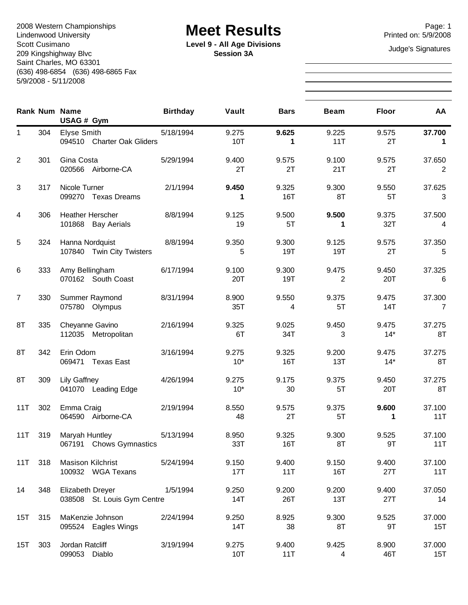Page: 1<br>
Lindenwood University **Example Acet Results**<br>
Printed on: 5/9/2008 Lindenwood University Scott Cusimano 209 Kingshighway Blvc Saint Charles, MO 63301 (636) 498-6854 (636) 498-6865 Fax 5/9/2008 - 5/11/2008

**Level 9 - All Age Divisions**<br> **Consignation** 34 **Session 3A**

|                |     | <b>Rank Num Name</b><br>USAG # Gym              | <b>Birthday</b> | Vault          | <b>Bars</b>  | <b>Beam</b>  | <b>Floor</b>   | AA            |
|----------------|-----|-------------------------------------------------|-----------------|----------------|--------------|--------------|----------------|---------------|
| 1              | 304 | Elyse Smith<br>094510 Charter Oak Gliders       | 5/18/1994       | 9.275<br>10T   | 9.625<br>1   | 9.225<br>11T | 9.575<br>2T    | 37.700<br>1   |
| 2              | 301 | Gina Costa<br>020566 Airborne-CA                | 5/29/1994       | 9.400<br>2T    | 9.575<br>2T  | 9.100<br>21T | 9.575<br>2T    | 37.650<br>2   |
| 3              | 317 | Nicole Turner<br>099270 Texas Dreams            | 2/1/1994        | 9.450<br>1     | 9.325<br>16T | 9.300<br>8T  | 9.550<br>5T    | 37.625<br>3   |
| 4              | 306 | Heather Herscher<br>101868 Bay Aerials          | 8/8/1994        | 9.125<br>19    | 9.500<br>5T  | 9.500<br>1   | 9.375<br>32T   | 37.500<br>4   |
| 5              | 324 | Hanna Nordquist<br>107840 Twin City Twisters    | 8/8/1994        | 9.350<br>5     | 9.300<br>19T | 9.125<br>19T | 9.575<br>2T    | 37.350<br>5   |
| 6              | 333 | Amy Bellingham<br>070162 South Coast            | 6/17/1994       | 9.100<br>20T   | 9.300<br>19T | 9.475<br>2   | 9.450<br>20T   | 37.325<br>6   |
| $\overline{7}$ | 330 | Summer Raymond<br>075780 Olympus                | 8/31/1994       | 8.900<br>35T   | 9.550<br>4   | 9.375<br>5T  | 9.475<br>14T   | 37.300<br>7   |
| 8T             | 335 | Cheyanne Gavino<br>112035 Metropolitan          | 2/16/1994       | 9.325<br>6T    | 9.025<br>34T | 9.450<br>3   | 9.475<br>$14*$ | 37.275<br>8T  |
| 8T             | 342 | Erin Odom<br>069471 Texas East                  | 3/16/1994       | 9.275<br>$10*$ | 9.325<br>16T | 9.200<br>13T | 9.475<br>$14*$ | 37.275<br>8T  |
| 8T             | 309 | <b>Lily Gaffney</b><br>041070 Leading Edge      | 4/26/1994       | 9.275<br>$10*$ | 9.175<br>30  | 9.375<br>5T  | 9.450<br>20T   | 37.275<br>8T  |
| 11T            | 302 | Emma Craig<br>064590 Airborne-CA                | 2/19/1994       | 8.550<br>48    | 9.575<br>2T  | 9.375<br>5T  | 9.600<br>1     | 37.100<br>11T |
| 11T            | 319 | Maryah Huntley<br>067191 Chows Gymnastics       | 5/13/1994       | 8.950<br>33T   | 9.325<br>16T | 9.300<br>8T  | 9.525<br>9T    | 37.100<br>11T |
| 11T            | 318 | <b>Masison Kilchrist</b><br>100932 WGA Texans   | 5/24/1994       | 9.150<br>17T   | 9.400<br>11T | 9.150<br>16T | 9.400<br>27T   | 37.100<br>11T |
| 14             | 348 | Elizabeth Dreyer<br>038508 St. Louis Gym Centre | 1/5/1994        | 9.250<br>14T   | 9.200<br>26T | 9.200<br>13T | 9.400<br>27T   | 37.050<br>14  |
| 15T            | 315 | MaKenzie Johnson<br>095524 Eagles Wings         | 2/24/1994       | 9.250<br>14T   | 8.925<br>38  | 9.300<br>8T  | 9.525<br>9T    | 37.000<br>15T |
| 15T            | 303 | Jordan Ratcliff<br>099053 Diablo                | 3/19/1994       | 9.275<br>10T   | 9.400<br>11T | 9.425<br>4   | 8.900<br>46T   | 37.000<br>15T |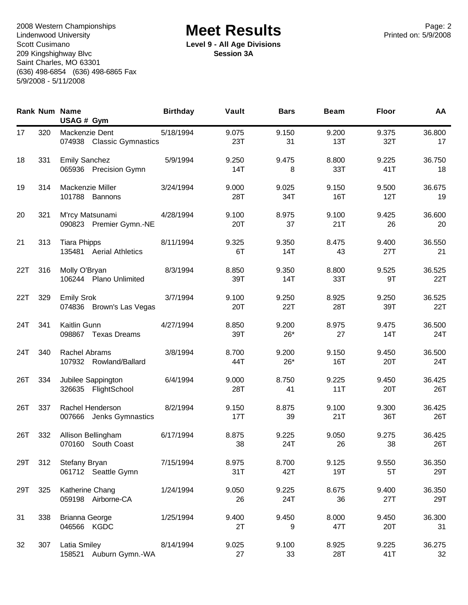Page: 2<br>
Lindenwood University **Example Acet Results**<br>
Printed on: 5/9/2008 Lindenwood University Scott Cusimano 209 Kingshighway Blvc Saint Charles, MO 63301 (636) 498-6854 (636) 498-6865 Fax 5/9/2008 - 5/11/2008

**Level 9 - All Age Divisions Session 3A**

|     |     | <b>Rank Num Name</b><br>USAG # Gym             | <b>Birthday</b> | Vault        | <b>Bars</b>    | <b>Beam</b>  | <b>Floor</b> | AA            |
|-----|-----|------------------------------------------------|-----------------|--------------|----------------|--------------|--------------|---------------|
| 17  | 320 | Mackenzie Dent<br>074938 Classic Gymnastics    | 5/18/1994       | 9.075<br>23T | 9.150<br>31    | 9.200<br>13T | 9.375<br>32T | 36.800<br>17  |
| 18  | 331 | <b>Emily Sanchez</b><br>065936 Precision Gymn  | 5/9/1994        | 9.250<br>14T | 9.475<br>8     | 8.800<br>33T | 9.225<br>41T | 36.750<br>18  |
| 19  | 314 | Mackenzie Miller<br>101788 Bannons             | 3/24/1994       | 9.000<br>28T | 9.025<br>34T   | 9.150<br>16T | 9.500<br>12T | 36.675<br>19  |
| 20  | 321 | M'rcy Matsunami<br>090823 Premier Gymn.-NE     | 4/28/1994       | 9.100<br>20T | 8.975<br>37    | 9.100<br>21T | 9.425<br>26  | 36.600<br>20  |
| 21  | 313 | <b>Tiara Phipps</b><br>135481 Aerial Athletics | 8/11/1994       | 9.325<br>6T  | 9.350<br>14T   | 8.475<br>43  | 9.400<br>27T | 36.550<br>21  |
| 22T | 316 | Molly O'Bryan<br>106244 Plano Unlimited        | 8/3/1994        | 8.850<br>39T | 9.350<br>14T   | 8.800<br>33T | 9.525<br>9T  | 36.525<br>22T |
| 22T | 329 | <b>Emily Srok</b><br>074836 Brown's Las Vegas  | 3/7/1994        | 9.100<br>20T | 9.250<br>22T   | 8.925<br>28T | 9.250<br>39T | 36.525<br>22T |
| 24T | 341 | Kaitlin Gunn<br>098867 Texas Dreams            | 4/27/1994       | 8.850<br>39T | 9.200<br>$26*$ | 8.975<br>27  | 9.475<br>14T | 36.500<br>24T |
| 24T | 340 | Rachel Abrams<br>107932 Rowland/Ballard        | 3/8/1994        | 8.700<br>44T | 9.200<br>$26*$ | 9.150<br>16T | 9.450<br>20T | 36.500<br>24T |
| 26T | 334 | Jubilee Sappington<br>326635 FlightSchool      | 6/4/1994        | 9.000<br>28T | 8.750<br>41    | 9.225<br>11T | 9.450<br>20T | 36.425<br>26T |
| 26T | 337 | Rachel Henderson<br>007666 Jenks Gymnastics    | 8/2/1994        | 9.150<br>17T | 8.875<br>39    | 9.100<br>21T | 9.300<br>36T | 36.425<br>26T |
| 26T | 332 | Allison Bellingham<br>070160 South Coast       | 6/17/1994       | 8.875<br>38  | 9.225<br>24T   | 9.050<br>26  | 9.275<br>38  | 36.425<br>26T |
| 29T | 312 | Stefany Bryan<br>061712 Seattle Gymn           | 7/15/1994       | 8.975<br>31T | 8.700<br>42T   | 9.125<br>19T | 9.550<br>5T  | 36.350<br>29T |
| 29T | 325 | Katherine Chang<br>059198 Airborne-CA          | 1/24/1994       | 9.050<br>26  | 9.225<br>24T   | 8.675<br>36  | 9.400<br>27T | 36.350<br>29T |
| 31  | 338 | <b>Brianna George</b><br>046566 KGDC           | 1/25/1994       | 9.400<br>2T  | 9.450<br>9     | 8.000<br>47T | 9.450<br>20T | 36.300<br>31  |
| 32  | 307 | Latia Smiley<br>158521 Auburn Gymn.-WA         | 8/14/1994       | 9.025<br>27  | 9.100<br>33    | 8.925<br>28T | 9.225<br>41T | 36.275<br>32  |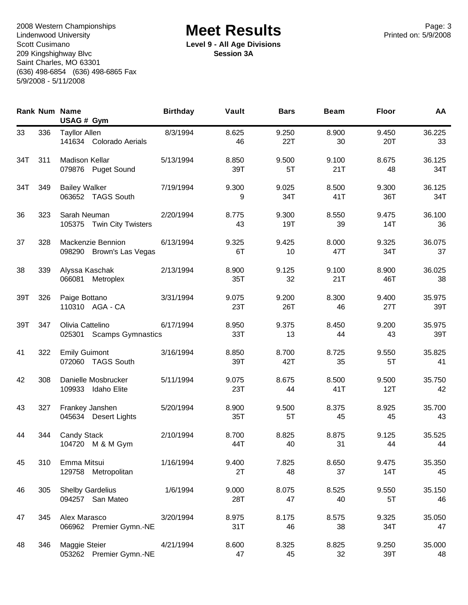Page: 3<br>
Lindenwood University **Example Acet Results**<br>
Printed on: 5/9/2008 Lindenwood University Scott Cusimano 209 Kingshighway Blvc Saint Charles, MO 63301 (636) 498-6854 (636) 498-6865 Fax 5/9/2008 - 5/11/2008

**Level 9 - All Age Divisions Session 3A**

|     |     | <b>Rank Num Name</b><br>USAG # Gym                     | <b>Birthday</b> | Vault        | <b>Bars</b>  | <b>Beam</b>  | <b>Floor</b> | AA            |
|-----|-----|--------------------------------------------------------|-----------------|--------------|--------------|--------------|--------------|---------------|
| 33  | 336 | <b>Tayllor Allen</b><br>141634 Colorado Aerials        | 8/3/1994        | 8.625<br>46  | 9.250<br>22T | 8.900<br>30  | 9.450<br>20T | 36.225<br>33  |
| 34T | 311 | <b>Madison Kellar</b><br>079876 Puget Sound            | 5/13/1994       | 8.850<br>39T | 9.500<br>5T  | 9.100<br>21T | 8.675<br>48  | 36.125<br>34T |
| 34T | 349 | <b>Bailey Walker</b><br>063652 TAGS South              | 7/19/1994       | 9.300<br>9   | 9.025<br>34T | 8.500<br>41T | 9.300<br>36T | 36.125<br>34T |
| 36  | 323 | Sarah Neuman<br>105375<br><b>Twin City Twisters</b>    | 2/20/1994       | 8.775<br>43  | 9.300<br>19T | 8.550<br>39  | 9.475<br>14T | 36.100<br>36  |
| 37  | 328 | Mackenzie Bennion<br>098290<br>Brown's Las Vegas       | 6/13/1994       | 9.325<br>6T  | 9.425<br>10  | 8.000<br>47T | 9.325<br>34T | 36.075<br>37  |
| 38  | 339 | Alyssa Kaschak<br>066081<br>Metroplex                  | 2/13/1994       | 8.900<br>35T | 9.125<br>32  | 9.100<br>21T | 8.900<br>46T | 36.025<br>38  |
| 39T | 326 | Paige Bottano<br>110310 AGA - CA                       | 3/31/1994       | 9.075<br>23T | 9.200<br>26T | 8.300<br>46  | 9.400<br>27T | 35.975<br>39T |
| 39T | 347 | Olivia Cattelino<br>025301<br><b>Scamps Gymnastics</b> | 6/17/1994       | 8.950<br>33T | 9.375<br>13  | 8.450<br>44  | 9.200<br>43  | 35.975<br>39T |
| 41  | 322 | <b>Emily Guimont</b><br><b>TAGS South</b><br>072060    | 3/16/1994       | 8.850<br>39T | 8.700<br>42T | 8.725<br>35  | 9.550<br>5T  | 35.825<br>41  |
| 42  | 308 | Danielle Mosbrucker<br>109933<br><b>Idaho Elite</b>    | 5/11/1994       | 9.075<br>23T | 8.675<br>44  | 8.500<br>41T | 9.500<br>12T | 35.750<br>42  |
| 43  | 327 | Frankey Janshen<br>045634 Desert Lights                | 5/20/1994       | 8.900<br>35T | 9.500<br>5T  | 8.375<br>45  | 8.925<br>45  | 35.700<br>43  |
| 44  | 344 | Candy Stack<br>104720<br>M & M Gym                     | 2/10/1994       | 8.700<br>44T | 8.825<br>40  | 8.875<br>31  | 9.125<br>44  | 35.525<br>44  |
| 45  | 310 | Emma Mitsui<br>129758 Metropolitan                     | 1/16/1994       | 9.400<br>2T  | 7.825<br>48  | 8.650<br>37  | 9.475<br>14T | 35.350<br>45  |
| 46  | 305 | <b>Shelby Gardelius</b><br>094257 San Mateo            | 1/6/1994        | 9.000<br>28T | 8.075<br>47  | 8.525<br>40  | 9.550<br>5T  | 35.150<br>46  |
| 47  | 345 | Alex Marasco<br>066962 Premier Gymn.-NE                | 3/20/1994       | 8.975<br>31T | 8.175<br>46  | 8.575<br>38  | 9.325<br>34T | 35.050<br>47  |
| 48  | 346 | Maggie Steier<br>053262 Premier Gymn.-NE               | 4/21/1994       | 8.600<br>47  | 8.325<br>45  | 8.825<br>32  | 9.250<br>39T | 35.000<br>48  |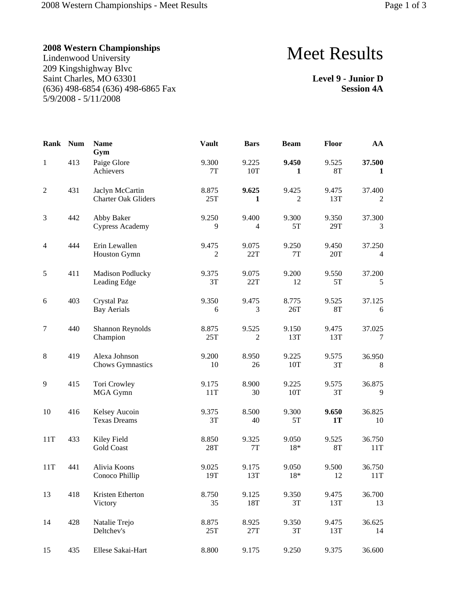### **2008 Western Championships**

Lindenwood University 209 Kingshighway Blvc Saint Charles, MO 63301 (636) 498-6854 (636) 498-6865 Fax 5/9/2008 - 5/11/2008

# Meet Results

**Level 9 - Junior D Session 4A**

| <b>Rank</b>    | <b>Num</b> | <b>Name</b><br>Gym                            | <b>Vault</b>            | <b>Bars</b>             | <b>Beam</b>  | Floor              | AA            |
|----------------|------------|-----------------------------------------------|-------------------------|-------------------------|--------------|--------------------|---------------|
| $\mathbf{1}$   | 413        | Paige Glore<br>Achievers                      | 9.300<br>7T             | 9.225<br>10T            | 9.450<br>1   | 9.525<br>8T        | 37.500<br>1   |
| $\overline{2}$ | 431        | Jaclyn McCartin<br><b>Charter Oak Gliders</b> | 8.875<br>25T            | 9.625<br>1              | 9.425<br>2   | 9.475<br>13T       | 37.400<br>2   |
| 3              | 442        | Abby Baker<br><b>Cypress Academy</b>          | 9.250<br>9              | 9.400<br>4              | 9.300<br>5T  | 9.350<br>29T       | 37.300<br>3   |
| 4              | 444        | Erin Lewallen<br><b>Houston Gymn</b>          | 9.475<br>$\overline{c}$ | 9.075<br>22T            | 9.250<br>7T  | 9.450<br>20T       | 37.250<br>4   |
| $\sqrt{5}$     | 411        | Madison Podlucky<br>Leading Edge              | 9.375<br>3T             | 9.075<br>22T            | 9.200<br>12  | 9.550<br>5T        | 37.200<br>5   |
| 6              | 403        | Crystal Paz<br><b>Bay Aerials</b>             | 9.350<br>6              | 9.475<br>3              | 8.775<br>26T | 9.525<br><b>8T</b> | 37.125<br>6   |
| $\tau$         | 440        | Shannon Reynolds<br>Champion                  | 8.875<br>25T            | 9.525<br>$\overline{c}$ | 9.150<br>13T | 9.475<br>13T       | 37.025<br>7   |
| $\,8\,$        | 419        | Alexa Johnson<br><b>Chows Gymnastics</b>      | 9.200<br>10             | 8.950<br>26             | 9.225<br>10T | 9.575<br>3T        | 36.950<br>8   |
| 9              | 415        | Tori Crowley<br>MGA Gymn                      | 9.175<br>11T            | 8.900<br>30             | 9.225<br>10T | 9.575<br>3T        | 36.875<br>9   |
| 10             | 416        | Kelsey Aucoin<br><b>Texas Dreams</b>          | 9.375<br>3T             | 8.500<br>40             | 9.300<br>5T  | 9.650<br><b>1T</b> | 36.825<br>10  |
| 11T            | 433        | Kiley Field<br><b>Gold Coast</b>              | 8.850<br>28T            | 9.325<br>$7\mathrm{T}$  | 9.050<br>18* | 9.525<br><b>8T</b> | 36.750<br>11T |
| 11T            | 441        | Alivia Koons<br>Conoco Phillip                | 9.025<br>19T            | 9.175<br>13T            | 9.050<br>18* | 9.500<br>12        | 36.750<br>11T |
| 13             | 418        | Kristen Etherton<br>Victory                   | 8.750<br>35             | 9.125<br>18T            | 9.350<br>3T  | 9.475<br>13T       | 36.700<br>13  |
| 14             | 428        | Natalie Trejo<br>Deltchev's                   | 8.875<br>25T            | 8.925<br>$27\mathrm{T}$ | 9.350<br>3T  | 9.475<br>13T       | 36.625<br>14  |
| 15             | 435        | Ellese Sakai-Hart                             | 8.800                   | 9.175                   | 9.250        | 9.375              | 36.600        |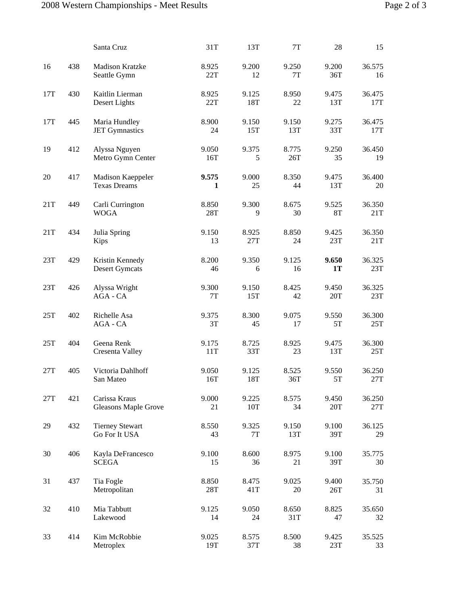|     |     | Santa Cruz                                   | 31T                   | 13T                    | 7T           | 28                 | 15            |
|-----|-----|----------------------------------------------|-----------------------|------------------------|--------------|--------------------|---------------|
| 16  | 438 | <b>Madison Kratzke</b><br>Seattle Gymn       | 8.925<br>22T          | 9.200<br>12            | 9.250<br>7T  | 9.200<br>36T       | 36.575<br>16  |
| 17T | 430 | Kaitlin Lierman<br>Desert Lights             | 8.925<br>22T          | 9.125<br>18T           | 8.950<br>22  | 9.475<br>13T       | 36.475<br>17T |
| 17T | 445 | Maria Hundley<br><b>JET Gymnastics</b>       | 8.900<br>24           | 9.150<br>15T           | 9.150<br>13T | 9.275<br>33T       | 36.475<br>17T |
| 19  | 412 | Alyssa Nguyen<br>Metro Gymn Center           | 9.050<br>16T          | 9.375<br>5             | 8.775<br>26T | 9.250<br>35        | 36.450<br>19  |
| 20  | 417 | Madison Kaeppeler<br><b>Texas Dreams</b>     | 9.575<br>$\mathbf{1}$ | 9.000<br>25            | 8.350<br>44  | 9.475<br>13T       | 36.400<br>20  |
| 21T | 449 | Carli Currington<br><b>WOGA</b>              | 8.850<br>28T          | 9.300<br>9             | 8.675<br>30  | 9.525<br><b>8T</b> | 36.350<br>21T |
| 21T | 434 | Julia Spring<br>Kips                         | 9.150<br>13           | 8.925<br>27T           | 8.850<br>24  | 9.425<br>23T       | 36.350<br>21T |
| 23T | 429 | Kristin Kennedy<br><b>Desert Gymcats</b>     | 8.200<br>46           | 9.350<br>6             | 9.125<br>16  | 9.650<br><b>1T</b> | 36.325<br>23T |
| 23T | 426 | Alyssa Wright<br>AGA - CA                    | 9.300<br>7T           | 9.150<br>15T           | 8.425<br>42  | 9.450<br>20T       | 36.325<br>23T |
| 25T | 402 | Richelle Asa<br>AGA - CA                     | 9.375<br>3T           | 8.300<br>45            | 9.075<br>17  | 9.550<br>5T        | 36.300<br>25T |
| 25T | 404 | Geena Renk<br>Cresenta Valley                | 9.175<br>11T          | 8.725<br>33T           | 8.925<br>23  | 9.475<br>13T       | 36.300<br>25T |
| 27T | 405 | Victoria Dahlhoff<br>San Mateo               | 9.050<br>16T          | 9.125<br>18T           | 8.525<br>36T | 9.550<br>5T        | 36.250<br>27T |
| 27T | 421 | Carissa Kraus<br><b>Gleasons Maple Grove</b> | 9.000<br>21           | 9.225<br>10T           | 8.575<br>34  | 9.450<br>20T       | 36.250<br>27T |
| 29  | 432 | <b>Tierney Stewart</b><br>Go For It USA      | 8.550<br>43           | 9.325<br>$7\mathrm{T}$ | 9.150<br>13T | 9.100<br>39T       | 36.125<br>29  |
| 30  | 406 | Kayla DeFrancesco<br><b>SCEGA</b>            | 9.100<br>15           | 8.600<br>36            | 8.975<br>21  | 9.100<br>39T       | 35.775<br>30  |
| 31  | 437 | Tia Fogle<br>Metropolitan                    | 8.850<br>28T          | 8.475<br>41T           | 9.025<br>20  | 9.400<br>26T       | 35.750<br>31  |
| 32  | 410 | Mia Tabbutt<br>Lakewood                      | 9.125<br>14           | 9.050<br>24            | 8.650<br>31T | 8.825<br>47        | 35.650<br>32  |
| 33  | 414 | Kim McRobbie<br>Metroplex                    | 9.025<br>19T          | 8.575<br>37T           | 8.500<br>38  | 9.425<br>23T       | 35.525<br>33  |